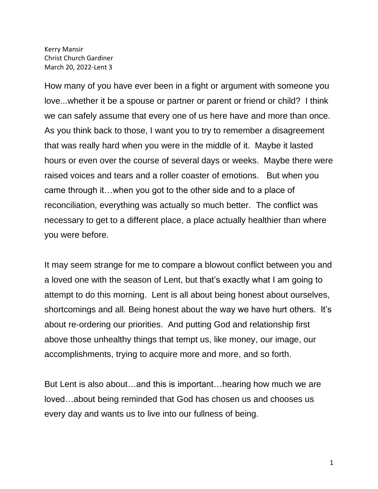Kerry Mansir Christ Church Gardiner March 20, 2022-Lent 3

How many of you have ever been in a fight or argument with someone you love...whether it be a spouse or partner or parent or friend or child? I think we can safely assume that every one of us here have and more than once. As you think back to those, I want you to try to remember a disagreement that was really hard when you were in the middle of it. Maybe it lasted hours or even over the course of several days or weeks. Maybe there were raised voices and tears and a roller coaster of emotions. But when you came through it…when you got to the other side and to a place of reconciliation, everything was actually so much better. The conflict was necessary to get to a different place, a place actually healthier than where you were before.

It may seem strange for me to compare a blowout conflict between you and a loved one with the season of Lent, but that's exactly what I am going to attempt to do this morning. Lent is all about being honest about ourselves, shortcomings and all. Being honest about the way we have hurt others. It's about re-ordering our priorities. And putting God and relationship first above those unhealthy things that tempt us, like money, our image, our accomplishments, trying to acquire more and more, and so forth.

But Lent is also about…and this is important…hearing how much we are loved…about being reminded that God has chosen us and chooses us every day and wants us to live into our fullness of being.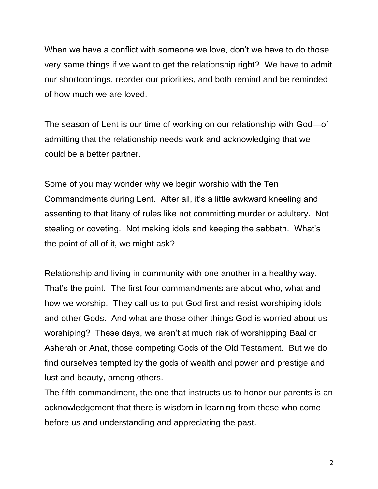When we have a conflict with someone we love, don't we have to do those very same things if we want to get the relationship right? We have to admit our shortcomings, reorder our priorities, and both remind and be reminded of how much we are loved.

The season of Lent is our time of working on our relationship with God—of admitting that the relationship needs work and acknowledging that we could be a better partner.

Some of you may wonder why we begin worship with the Ten Commandments during Lent. After all, it's a little awkward kneeling and assenting to that litany of rules like not committing murder or adultery. Not stealing or coveting. Not making idols and keeping the sabbath. What's the point of all of it, we might ask?

Relationship and living in community with one another in a healthy way. That's the point. The first four commandments are about who, what and how we worship. They call us to put God first and resist worshiping idols and other Gods. And what are those other things God is worried about us worshiping? These days, we aren't at much risk of worshipping Baal or Asherah or Anat, those competing Gods of the Old Testament. But we do find ourselves tempted by the gods of wealth and power and prestige and lust and beauty, among others.

The fifth commandment, the one that instructs us to honor our parents is an acknowledgement that there is wisdom in learning from those who come before us and understanding and appreciating the past.

2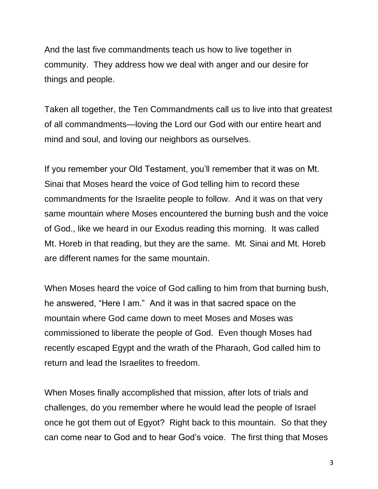And the last five commandments teach us how to live together in community. They address how we deal with anger and our desire for things and people.

Taken all together, the Ten Commandments call us to live into that greatest of all commandments—loving the Lord our God with our entire heart and mind and soul, and loving our neighbors as ourselves.

If you remember your Old Testament, you'll remember that it was on Mt. Sinai that Moses heard the voice of God telling him to record these commandments for the Israelite people to follow. And it was on that very same mountain where Moses encountered the burning bush and the voice of God., like we heard in our Exodus reading this morning. It was called Mt. Horeb in that reading, but they are the same. Mt. Sinai and Mt. Horeb are different names for the same mountain.

When Moses heard the voice of God calling to him from that burning bush, he answered, "Here I am." And it was in that sacred space on the mountain where God came down to meet Moses and Moses was commissioned to liberate the people of God. Even though Moses had recently escaped Egypt and the wrath of the Pharaoh, God called him to return and lead the Israelites to freedom.

When Moses finally accomplished that mission, after lots of trials and challenges, do you remember where he would lead the people of Israel once he got them out of Egyot? Right back to this mountain. So that they can come near to God and to hear God's voice. The first thing that Moses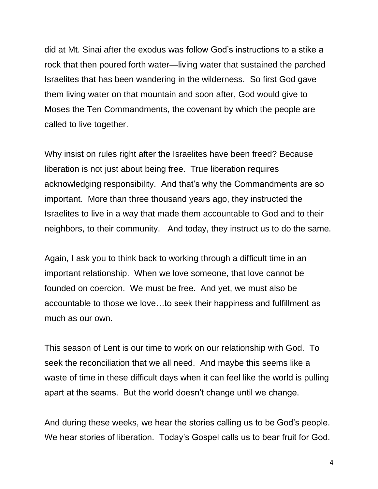did at Mt. Sinai after the exodus was follow God's instructions to a stike a rock that then poured forth water—living water that sustained the parched Israelites that has been wandering in the wilderness. So first God gave them living water on that mountain and soon after, God would give to Moses the Ten Commandments, the covenant by which the people are called to live together.

Why insist on rules right after the Israelites have been freed? Because liberation is not just about being free. True liberation requires acknowledging responsibility. And that's why the Commandments are so important. More than three thousand years ago, they instructed the Israelites to live in a way that made them accountable to God and to their neighbors, to their community. And today, they instruct us to do the same.

Again, I ask you to think back to working through a difficult time in an important relationship. When we love someone, that love cannot be founded on coercion. We must be free. And yet, we must also be accountable to those we love…to seek their happiness and fulfillment as much as our own.

This season of Lent is our time to work on our relationship with God. To seek the reconciliation that we all need. And maybe this seems like a waste of time in these difficult days when it can feel like the world is pulling apart at the seams. But the world doesn't change until we change.

And during these weeks, we hear the stories calling us to be God's people. We hear stories of liberation. Today's Gospel calls us to bear fruit for God.